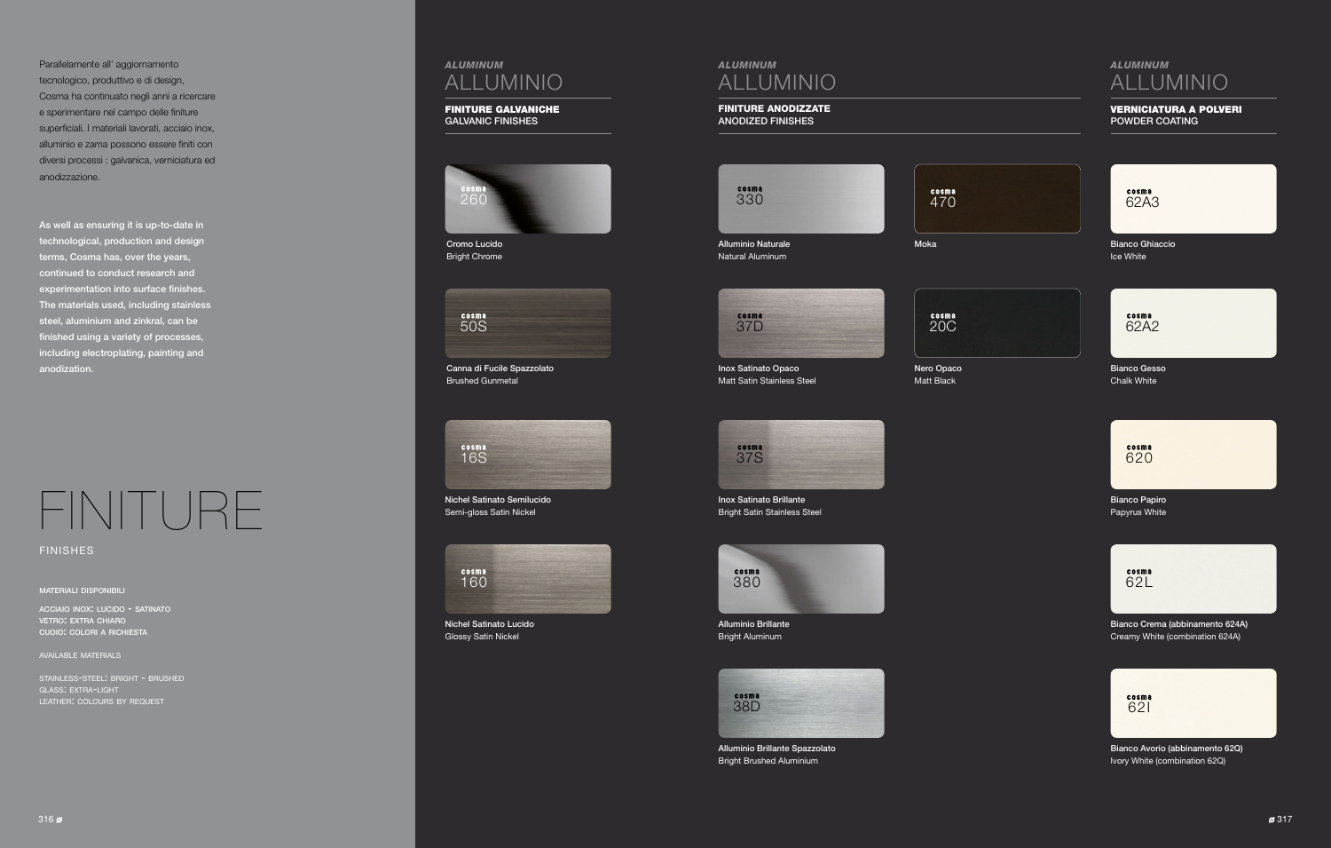# FINITURE

finishes

#### materiali disponibili

acciaio inox: lucido - satinato vetro: extra chiaro cuoio: colori <sup>a</sup> richiesta

## available materials

cosma 62A2

cosma 620

cosma 62L

cosma 62I

stainless-steel: bright - brushed glass: extra-light leather: colours by request

# *ALUMINUM* ALLUMINIO

## FINITURE ANODIZZATE ANODIZED FINISHES



# *ALUMINUM* ALLUMINIO

## VERNICIATURA A POLVERI POWDER COATING







Bianco Gesso Chalk White

Bianco Papiro Papyrus White

Bianco Crema (abbinamento 624A) Creamy White (combination 624A)



Alluminio Brillante Spazzolato Bright Brushed Aluminium

Bianco Avorio (abbinamento 62Q) Ivory White (combination 62Q)

Bianco Ghiaccio Ice White





Inox Satinato Brillante Bright Satin Stainless Steel



Alluminio Brillante Bright Aluminum

Alluminio Naturale Natural Aluminum

Moka

Inox Satinato Opaco Matt Satin Stainless Steel Nero Opaco Matt Black

Parallelamente all' aggiornamento tecnologico, produttivo e di design, Cosma ha continuato negli anni a ricercare e sperimentare nel campo delle finiture superficiali. I materiali lavorati, acciaio inox, alluminio e zama possono essere finiti con diversi processi : galvanica, verniciatura ed anodizzazione.

As well as ensuring it is up-to-date in technological, production and design terms, Cosma has, over the years, continued to conduct research and experimentation into surface finishes. The materials used, including stainless steel, aluminium and zinkral, can be finished using a variety of processes, including electroplating, painting and anodization.

# *ALUMINUM* ALLUMINIO

## FINITURE GALVANICHE GALVANIC FINISHES

260

Cromo Lucido Bright Chrome

Canna di Fucile Spazzolato Brushed Gunmetal

Nichel Satinato Semilucido Semi-gloss Satin Nickel





Nichel Satinato Lucido Glossy Satin Nickel